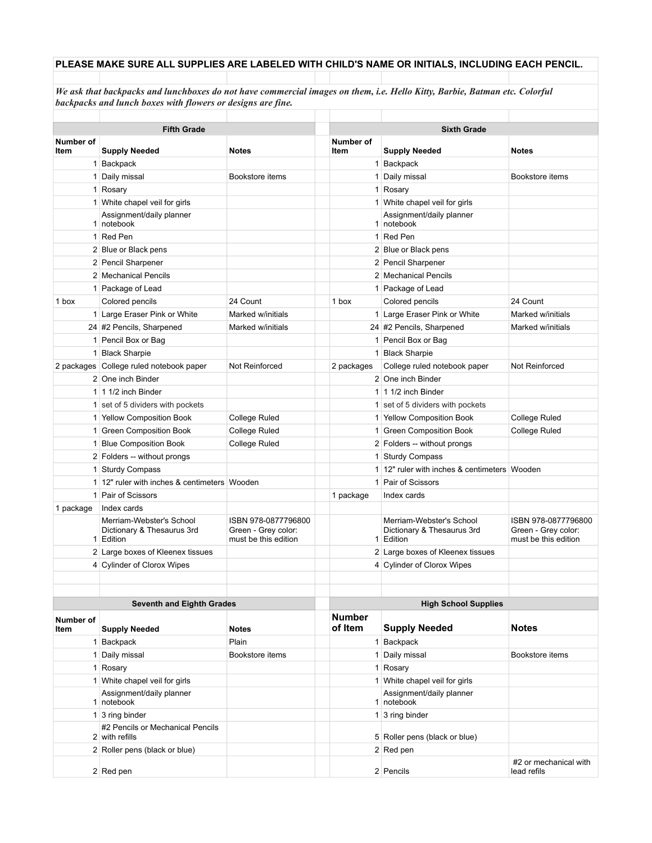## **PLEASE MAKE SURE ALL SUPPLIES ARE LABELED WITH CHILD'S NAME OR INITIALS, INCLUDING EACH PENCIL.**

*We ask that backpacks and lunchboxes do not have commercial images on them, i.e. Hello Kitty, Barbie, Batman etc. Colorful backpacks and lunch boxes with flowers or designs are fine.*

|                                  | <b>Fifth Grade</b>                                                  |                                                                    |                             | <b>Sixth Grade</b>                                                |                                                                    |  |
|----------------------------------|---------------------------------------------------------------------|--------------------------------------------------------------------|-----------------------------|-------------------------------------------------------------------|--------------------------------------------------------------------|--|
| Number of<br>Item                | <b>Supply Needed</b>                                                | <b>Notes</b>                                                       | Number of<br>ltem           | <b>Supply Needed</b>                                              | <b>Notes</b>                                                       |  |
|                                  | 1 Backpack                                                          |                                                                    |                             | 1 Backpack                                                        |                                                                    |  |
|                                  | 1 Daily missal                                                      | Bookstore items                                                    |                             | 1 Daily missal                                                    | Bookstore items                                                    |  |
|                                  | 1 Rosary                                                            |                                                                    |                             | 1 Rosary                                                          |                                                                    |  |
|                                  | 1 White chapel veil for girls                                       |                                                                    |                             | 1 White chapel veil for girls                                     |                                                                    |  |
|                                  | Assignment/daily planner<br>1 notebook                              |                                                                    |                             | Assignment/daily planner<br>1 notebook                            |                                                                    |  |
|                                  | 1 Red Pen                                                           |                                                                    |                             | 1 Red Pen                                                         |                                                                    |  |
|                                  | 2 Blue or Black pens                                                |                                                                    |                             | 2 Blue or Black pens                                              |                                                                    |  |
|                                  | 2 Pencil Sharpener                                                  |                                                                    |                             | 2 Pencil Sharpener                                                |                                                                    |  |
|                                  | 2 Mechanical Pencils                                                |                                                                    |                             | 2 Mechanical Pencils                                              |                                                                    |  |
|                                  | 1 Package of Lead                                                   |                                                                    |                             | 1 Package of Lead                                                 |                                                                    |  |
| 1 box                            | Colored pencils                                                     | 24 Count                                                           | 1 box                       | Colored pencils                                                   | 24 Count                                                           |  |
|                                  | 1 Large Eraser Pink or White                                        | Marked w/initials                                                  |                             | 1 Large Eraser Pink or White                                      | Marked w/initials                                                  |  |
|                                  | 24 #2 Pencils, Sharpened                                            | Marked w/initials                                                  |                             | 24 #2 Pencils, Sharpened                                          | Marked w/initials                                                  |  |
|                                  | 1 Pencil Box or Bag                                                 |                                                                    |                             | 1 Pencil Box or Bag                                               |                                                                    |  |
|                                  | 1 Black Sharpie                                                     |                                                                    |                             | 1 Black Sharpie                                                   |                                                                    |  |
|                                  | 2 packages College ruled notebook paper                             | Not Reinforced                                                     | 2 packages                  | College ruled notebook paper                                      | Not Reinforced                                                     |  |
|                                  | 2 One inch Binder                                                   |                                                                    |                             | 2 One inch Binder                                                 |                                                                    |  |
|                                  | 1 1 1/2 inch Binder                                                 |                                                                    |                             | 1   1 $1/2$ inch Binder                                           |                                                                    |  |
|                                  | 1 set of 5 dividers with pockets                                    |                                                                    |                             | 1 set of 5 dividers with pockets                                  |                                                                    |  |
|                                  | 1 Yellow Composition Book                                           | College Ruled                                                      |                             | 1 Yellow Composition Book                                         | College Ruled                                                      |  |
|                                  | 1 Green Composition Book                                            | College Ruled                                                      |                             | 1 Green Composition Book                                          | College Ruled                                                      |  |
|                                  | 1 Blue Composition Book                                             | College Ruled                                                      |                             | 2 Folders -- without prongs                                       |                                                                    |  |
|                                  | 2 Folders -- without prongs                                         |                                                                    |                             | 1 Sturdy Compass                                                  |                                                                    |  |
|                                  | 1 Sturdy Compass                                                    |                                                                    |                             | 1 12" ruler with inches & centimeters Wooden                      |                                                                    |  |
|                                  | 1 12" ruler with inches & centimeters Wooden                        |                                                                    |                             | 1 Pair of Scissors                                                |                                                                    |  |
|                                  | 1 Pair of Scissors                                                  |                                                                    | 1 package                   | Index cards                                                       |                                                                    |  |
| 1 package                        | Index cards                                                         |                                                                    |                             |                                                                   |                                                                    |  |
|                                  | Merriam-Webster's School<br>Dictionary & Thesaurus 3rd<br>1 Edition | ISBN 978-0877796800<br>Green - Grey color:<br>must be this edition | 1 <sup>1</sup>              | Merriam-Webster's School<br>Dictionary & Thesaurus 3rd<br>Edition | ISBN 978-0877796800<br>Green - Grey color:<br>must be this edition |  |
|                                  | 2 Large boxes of Kleenex tissues                                    |                                                                    |                             | 2 Large boxes of Kleenex tissues                                  |                                                                    |  |
|                                  | 4 Cylinder of Clorox Wipes                                          |                                                                    |                             | 4 Cylinder of Clorox Wipes                                        |                                                                    |  |
|                                  |                                                                     |                                                                    |                             |                                                                   |                                                                    |  |
|                                  |                                                                     |                                                                    |                             |                                                                   |                                                                    |  |
| <b>Seventh and Eighth Grades</b> |                                                                     |                                                                    | <b>High School Supplies</b> |                                                                   |                                                                    |  |
| Number of<br>Item                | <b>Supply Needed</b>                                                | <b>Notes</b>                                                       | <b>Number</b><br>of Item    | <b>Supply Needed</b>                                              | <b>Notes</b>                                                       |  |
|                                  | 1 Backpack                                                          | Plain                                                              |                             | 1 Backpack                                                        |                                                                    |  |
|                                  | 1 Daily missal                                                      | Bookstore items                                                    |                             | 1 Daily missal                                                    | Bookstore items                                                    |  |
|                                  | 1 Rosary                                                            |                                                                    |                             | 1 Rosary                                                          |                                                                    |  |
|                                  | 1 White chapel veil for girls                                       |                                                                    |                             | 1 White chapel veil for girls                                     |                                                                    |  |
|                                  | Assignment/daily planner<br>1 notebook                              |                                                                    |                             | Assignment/daily planner<br>1 notebook                            |                                                                    |  |
|                                  | 1 3 ring binder                                                     |                                                                    |                             | 1 3 ring binder                                                   |                                                                    |  |
|                                  | #2 Pencils or Mechanical Pencils                                    |                                                                    |                             |                                                                   |                                                                    |  |
|                                  | 2 with refills                                                      |                                                                    |                             | 5 Roller pens (black or blue)                                     |                                                                    |  |
|                                  | 2 Roller pens (black or blue)                                       |                                                                    |                             | 2 Red pen                                                         |                                                                    |  |
|                                  | 2 Red pen                                                           |                                                                    |                             | 2 Pencils                                                         | #2 or mechanical with<br>lead refils                               |  |